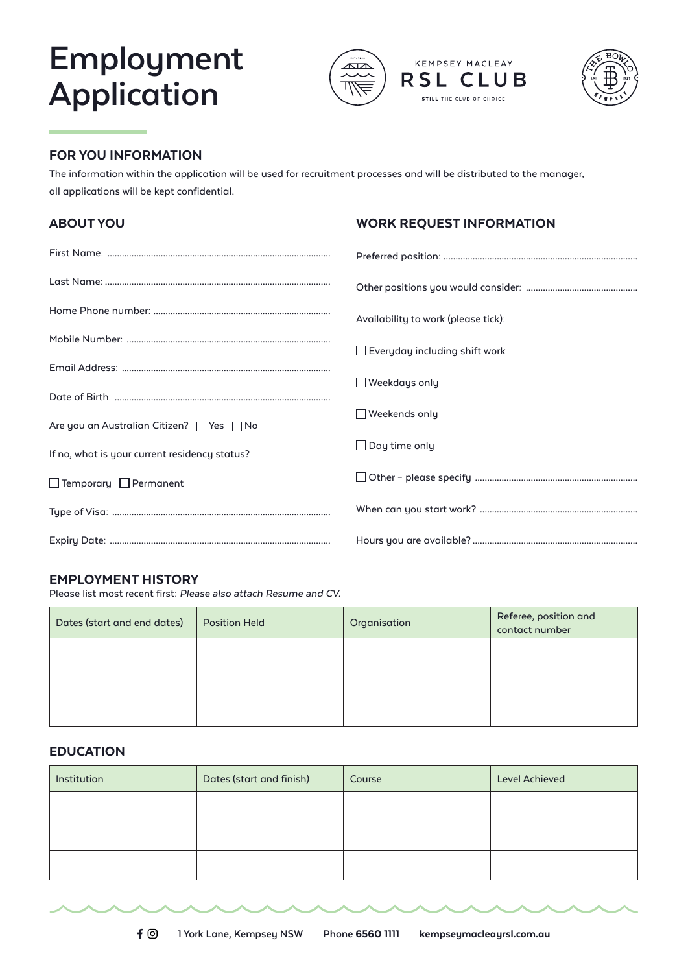# **Employment Application**





### FOR YOU INFORMATION

*The information within the application will be used for recruitment processes and will be distributed to the manager, all applications will be kept confidential.* 

| <b>ABOUT YOU</b>                                                                           | <b>WORK REQUEST INFORMATION</b>      |
|--------------------------------------------------------------------------------------------|--------------------------------------|
|                                                                                            |                                      |
|                                                                                            |                                      |
|                                                                                            | Availability to work (please tick):  |
|                                                                                            | $\Box$ Everyday including shift work |
|                                                                                            | $\Box$ Weekdays only                 |
|                                                                                            | $\Box$ Weekends only                 |
| Are you an Australian Citizen? □ Yes □ No<br>If no, what is your current residency status? | $\Box$ Day time only                 |
| $\Box$ Temporary $\Box$ Permanent                                                          |                                      |
|                                                                                            |                                      |
|                                                                                            |                                      |

#### EMPLOYMENT HISTORY

*Please list most recent first:* Please also attach Resume and CV.

| Dates (start and end dates) | Position Held | Organisation | Referee, position and<br>contact number |
|-----------------------------|---------------|--------------|-----------------------------------------|
|                             |               |              |                                         |
|                             |               |              |                                         |
|                             |               |              |                                         |

#### EDUCATION

| Institution | Dates (start and finish) | Course | <b>Level Achieved</b> |
|-------------|--------------------------|--------|-----------------------|
|             |                          |        |                       |
|             |                          |        |                       |
|             |                          |        |                       |